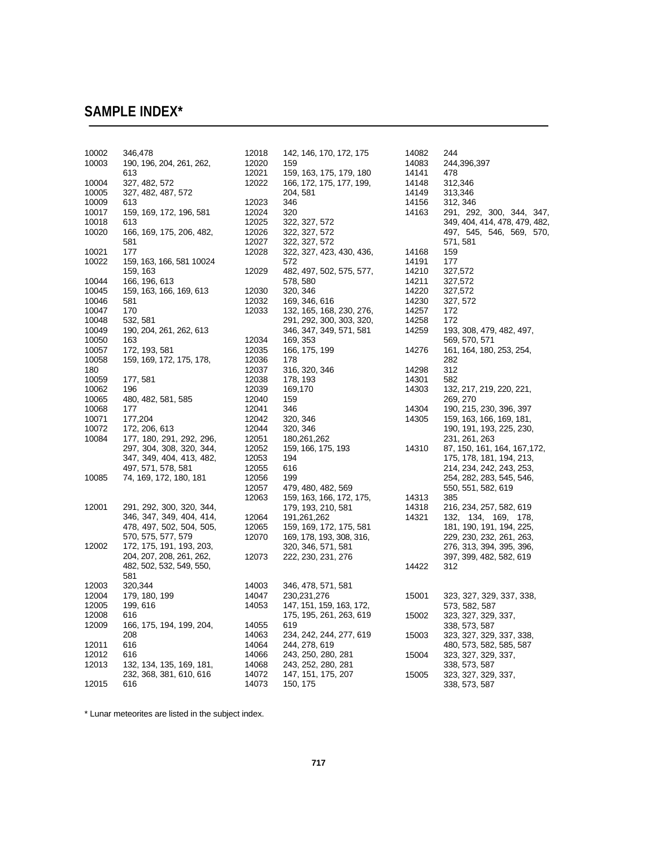## **SAMPLE INDEX\***

| 10002 | 346,478                  | 12018 | 142, 146, 170, 172, 175  | 14082 | 244                           |
|-------|--------------------------|-------|--------------------------|-------|-------------------------------|
| 10003 | 190, 196, 204, 261, 262, | 12020 | 159                      | 14083 | 244,396,397                   |
|       | 613                      | 12021 | 159, 163, 175, 179, 180  | 14141 | 478                           |
| 10004 | 327, 482, 572            | 12022 | 166, 172, 175, 177, 199, | 14148 | 312,346                       |
| 10005 | 327, 482, 487, 572       |       | 204, 581                 | 14149 | 313,346                       |
| 10009 | 613                      | 12023 | 346                      | 14156 | 312, 346                      |
| 10017 | 159, 169, 172, 196, 581  | 12024 | 320                      | 14163 | 291, 292, 300, 344, 347,      |
| 10018 | 613                      | 12025 | 322, 327, 572            |       | 349, 404, 414, 478, 479, 482, |
| 10020 | 166, 169, 175, 206, 482, | 12026 | 322, 327, 572            |       | 497, 545, 546, 569, 570,      |
|       | 581                      | 12027 | 322, 327, 572            |       | 571, 581                      |
| 10021 | 177                      | 12028 | 322, 327, 423, 430, 436, | 14168 | 159                           |
| 10022 | 159, 163, 166, 581 10024 |       | 572                      | 14191 | 177                           |
|       | 159, 163                 | 12029 | 482, 497, 502, 575, 577, | 14210 | 327,572                       |
| 10044 | 166, 196, 613            |       | 578, 580                 | 14211 | 327,572                       |
| 10045 | 159, 163, 166, 169, 613  | 12030 | 320, 346                 | 14220 | 327,572                       |
| 10046 | 581                      | 12032 | 169, 346, 616            | 14230 | 327, 572                      |
| 10047 | 170                      | 12033 | 132, 165, 168, 230, 276, | 14257 | 172                           |
| 10048 | 532, 581                 |       | 291, 292, 300, 303, 320, | 14258 | 172                           |
| 10049 | 190, 204, 261, 262, 613  |       | 346, 347, 349, 571, 581  | 14259 | 193, 308, 479, 482, 497,      |
| 10050 | 163                      | 12034 | 169, 353                 |       | 569, 570, 571                 |
| 10057 | 172, 193, 581            | 12035 | 166, 175, 199            | 14276 | 161, 164, 180, 253, 254,      |
| 10058 | 159, 169, 172, 175, 178, | 12036 | 178                      |       | 282                           |
| 180   |                          | 12037 | 316, 320, 346            | 14298 | 312                           |
| 10059 | 177, 581                 | 12038 | 178, 193                 | 14301 | 582                           |
| 10062 | 196                      | 12039 | 169,170                  | 14303 | 132, 217, 219, 220, 221,      |
| 10065 | 480, 482, 581, 585       | 12040 | 159                      |       | 269, 270                      |
| 10068 | 177                      | 12041 | 346                      | 14304 | 190, 215, 230, 396, 397       |
| 10071 | 177,204                  | 12042 | 320, 346                 | 14305 | 159, 163, 166, 169, 181,      |
| 10072 | 172, 206, 613            | 12044 | 320, 346                 |       | 190, 191, 193, 225, 230,      |
| 10084 | 177, 180, 291, 292, 296, | 12051 | 180,261,262              |       | 231, 261, 263                 |
|       | 297, 304, 308, 320, 344, | 12052 | 159, 166, 175, 193       | 14310 | 87, 150, 161, 164, 167, 172,  |
|       | 347, 349, 404, 413, 482, | 12053 | 194                      |       | 175, 178, 181, 194, 213,      |
|       | 497, 571, 578, 581       | 12055 | 616                      |       | 214, 234, 242, 243, 253,      |
| 10085 | 74, 169, 172, 180, 181   | 12056 | 199                      |       | 254, 282, 283, 545, 546,      |
|       |                          | 12057 | 479, 480, 482, 569       |       | 550, 551, 582, 619            |
|       |                          | 12063 | 159, 163, 166, 172, 175, | 14313 | 385                           |
| 12001 | 291, 292, 300, 320, 344, |       | 179, 193, 210, 581       | 14318 | 216, 234, 257, 582, 619       |
|       | 346, 347, 349, 404, 414, | 12064 | 191,261,262              | 14321 | 132, 134, 169, 178,           |
|       | 478, 497, 502, 504, 505, | 12065 | 159, 169, 172, 175, 581  |       | 181, 190, 191, 194, 225,      |
|       | 570, 575, 577, 579       | 12070 | 169, 178, 193, 308, 316, |       | 229, 230, 232, 261, 263,      |
| 12002 | 172, 175, 191, 193, 203, |       | 320, 346, 571, 581       |       | 276, 313, 394, 395, 396,      |
|       | 204, 207, 208, 261, 262, | 12073 | 222, 230, 231, 276       |       | 397, 399, 482, 582, 619       |
|       | 482, 502, 532, 549, 550, |       |                          | 14422 | 312                           |
|       | 581                      |       |                          |       |                               |
| 12003 | 320,344                  | 14003 | 346, 478, 571, 581       |       |                               |
| 12004 | 179, 180, 199            | 14047 | 230, 231, 276            | 15001 | 323, 327, 329, 337, 338,      |
| 12005 | 199, 616                 | 14053 | 147, 151, 159, 163, 172, |       | 573, 582, 587                 |
| 12008 | 616                      |       | 175, 195, 261, 263, 619  | 15002 | 323, 327, 329, 337,           |
| 12009 | 166, 175, 194, 199, 204, | 14055 | 619                      |       | 338, 573, 587                 |
|       | 208                      | 14063 | 234, 242, 244, 277, 619  | 15003 | 323, 327, 329, 337, 338,      |
| 12011 | 616                      | 14064 | 244, 278, 619            |       | 480, 573, 582, 585, 587       |
| 12012 | 616                      | 14066 | 243, 250, 280, 281       | 15004 | 323, 327, 329, 337,           |
| 12013 | 132, 134, 135, 169, 181, | 14068 | 243, 252, 280, 281       |       | 338, 573, 587                 |
|       | 232, 368, 381, 610, 616  | 14072 | 147, 151, 175, 207       | 15005 | 323, 327, 329, 337,           |
| 12015 | 616                      | 14073 | 150, 175                 |       | 338, 573, 587                 |

\* Lunar meteorites are listed in the subject index.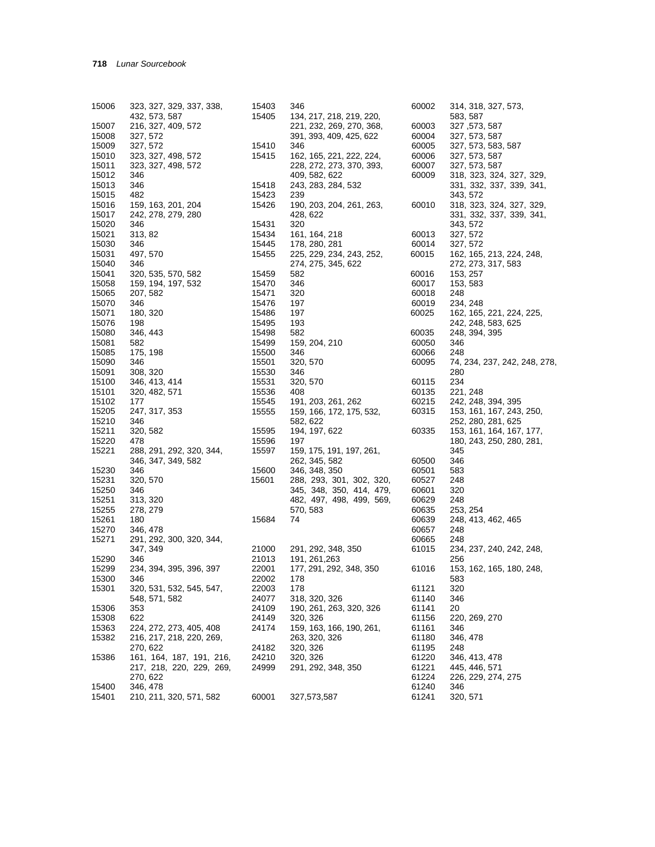| 15006 | 323, 327, 329, 337, 338, | 15403 | 346                      | 60002 | 314, 318, 327, 573,          |
|-------|--------------------------|-------|--------------------------|-------|------------------------------|
|       | 432, 573, 587            | 15405 | 134, 217, 218, 219, 220, |       | 583, 587                     |
| 15007 | 216, 327, 409, 572       |       | 221, 232, 269, 270, 368, | 60003 | 327, 573, 587                |
| 15008 | 327, 572                 |       | 391, 393, 409, 425, 622  | 60004 | 327, 573, 587                |
| 15009 | 327, 572                 | 15410 | 346                      | 60005 | 327, 573, 583, 587           |
| 15010 | 323, 327, 498, 572       | 15415 | 162, 165, 221, 222, 224, | 60006 | 327, 573, 587                |
| 15011 | 323, 327, 498, 572       |       | 228, 272, 273, 370, 393, | 60007 | 327, 573, 587                |
| 15012 | 346                      |       | 409, 582, 622            | 60009 | 318, 323, 324, 327, 329,     |
| 15013 | 346                      | 15418 | 243, 283, 284, 532       |       | 331, 332, 337, 339, 341,     |
| 15015 | 482                      | 15423 | 239                      |       | 343, 572                     |
| 15016 | 159, 163, 201, 204       | 15426 | 190, 203, 204, 261, 263, | 60010 | 318, 323, 324, 327, 329,     |
| 15017 | 242, 278, 279, 280       |       | 428, 622                 |       | 331, 332, 337, 339, 341,     |
| 15020 | 346                      | 15431 | 320                      |       | 343, 572                     |
| 15021 | 313, 82                  | 15434 | 161, 164, 218            | 60013 | 327, 572                     |
| 15030 | 346                      | 15445 | 178, 280, 281            | 60014 | 327, 572                     |
| 15031 | 497, 570                 | 15455 | 225, 229, 234, 243, 252, | 60015 | 162, 165, 213, 224, 248,     |
| 15040 | 346                      |       | 274, 275, 345, 622       |       | 272, 273, 317, 583           |
| 15041 | 320, 535, 570, 582       | 15459 | 582                      | 60016 | 153, 257                     |
| 15058 | 159, 194, 197, 532       | 15470 | 346                      | 60017 | 153, 583                     |
| 15065 | 207, 582                 | 15471 | 320                      | 60018 | 248                          |
| 15070 | 346                      | 15476 | 197                      | 60019 | 234, 248                     |
| 15071 | 180, 320                 | 15486 | 197                      | 60025 | 162, 165, 221, 224, 225,     |
| 15076 | 198                      | 15495 | 193                      |       | 242, 248, 583, 625           |
| 15080 | 346, 443                 | 15498 | 582                      | 60035 | 248, 394, 395                |
| 15081 | 582                      | 15499 | 159, 204, 210            | 60050 | 346                          |
| 15085 | 175, 198                 | 15500 | 346                      | 60066 | 248                          |
| 15090 | 346                      | 15501 | 320, 570                 | 60095 | 74, 234, 237, 242, 248, 278, |
| 15091 | 308, 320                 | 15530 | 346                      |       | 280                          |
| 15100 | 346, 413, 414            | 15531 | 320, 570                 | 60115 | 234                          |
| 15101 | 320, 482, 571            | 15536 | 408                      | 60135 | 221, 248                     |
| 15102 | 177                      | 15545 | 191, 203, 261, 262       | 60215 | 242, 248, 394, 395           |
| 15205 | 247, 317, 353            | 15555 | 159, 166, 172, 175, 532, | 60315 | 153, 161, 167, 243, 250,     |
| 15210 | 346                      |       | 582, 622                 |       | 252, 280, 281, 625           |
| 15211 | 320, 582                 | 15595 | 194, 197, 622            | 60335 | 153, 161, 164, 167, 177,     |
| 15220 | 478                      | 15596 | 197                      |       | 180, 243, 250, 280, 281,     |
| 15221 | 288, 291, 292, 320, 344, | 15597 | 159, 175, 191, 197, 261, |       | 345                          |
|       | 346, 347, 349, 582       |       | 262, 345, 582            | 60500 | 346                          |
| 15230 | 346                      | 15600 | 346, 348, 350            | 60501 | 583                          |
| 15231 | 320, 570                 | 15601 | 288, 293, 301, 302, 320, | 60527 | 248                          |
| 15250 | 346                      |       | 345, 348, 350, 414, 479, | 60601 | 320                          |
| 15251 | 313, 320                 |       | 482, 497, 498, 499, 569, | 60629 | 248                          |
| 15255 | 278, 279                 |       | 570, 583                 | 60635 | 253, 254                     |
| 15261 | 180                      | 15684 | 74                       | 60639 | 248, 413, 462, 465           |
| 15270 | 346, 478                 |       |                          | 60657 | 248                          |
| 15271 | 291, 292, 300, 320, 344, |       |                          | 60665 | 248                          |
|       | 347, 349                 | 21000 | 291, 292, 348, 350       | 61015 | 234, 237, 240, 242, 248,     |
| 15290 | 346                      | 21013 | 191, 261, 263            |       | 256                          |
| 15299 | 234, 394, 395, 396, 397  | 22001 | 177, 291, 292, 348, 350  | 61016 | 153, 162, 165, 180, 248,     |
| 15300 | 346                      | 22002 | 178                      |       | 583                          |
| 15301 | 320, 531, 532, 545, 547, | 22003 | 178                      | 61121 | 320                          |
|       | 548, 571, 582            | 24077 | 318, 320, 326            | 61140 | 346                          |
| 15306 | 353                      | 24109 | 190, 261, 263, 320, 326  | 61141 | 20                           |
| 15308 | 622                      | 24149 | 320, 326                 | 61156 | 220, 269, 270                |
| 15363 | 224, 272, 273, 405, 408  | 24174 | 159, 163, 166, 190, 261, | 61161 | 346                          |
| 15382 | 216, 217, 218, 220, 269, |       | 263, 320, 326            | 61180 | 346, 478                     |
|       | 270, 622                 | 24182 | 320, 326                 | 61195 | 248                          |
| 15386 | 161, 164, 187, 191, 216, | 24210 | 320, 326                 | 61220 | 346, 413, 478                |
|       | 217, 218, 220, 229, 269, | 24999 | 291, 292, 348, 350       | 61221 | 445, 446, 571                |
|       | 270, 622                 |       |                          | 61224 | 226, 229, 274, 275           |
| 15400 | 346, 478                 |       |                          | 61240 | 346                          |
| 15401 | 210, 211, 320, 571, 582  | 60001 | 327,573,587              | 61241 | 320, 571                     |
|       |                          |       |                          |       |                              |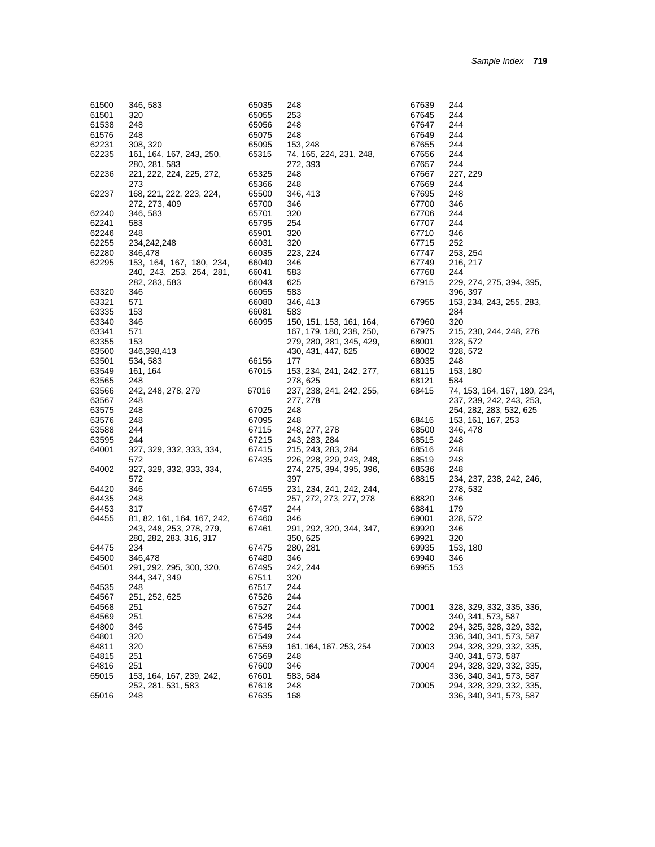| 61500          | 346, 583                    | 65035 | 248                      | 67639 | 244                          |
|----------------|-----------------------------|-------|--------------------------|-------|------------------------------|
| 61501          | 320                         | 65055 | 253                      | 67645 | 244                          |
| 61538          | 248                         | 65056 | 248                      | 67647 | 244                          |
| 61576          | 248                         | 65075 | 248                      | 67649 | 244                          |
| 62231          | 308, 320                    | 65095 | 153, 248                 | 67655 | 244                          |
| 62235          | 161, 164, 167, 243, 250,    | 65315 | 74, 165, 224, 231, 248,  | 67656 | 244                          |
|                | 280, 281, 583               |       | 272, 393                 | 67657 | 244                          |
| 62236          | 221, 222, 224, 225, 272,    | 65325 | 248                      | 67667 | 227, 229                     |
|                | 273                         | 65366 | 248                      | 67669 | 244                          |
| 62237          | 168, 221, 222, 223, 224,    | 65500 | 346, 413                 | 67695 | 248                          |
|                | 272, 273, 409               | 65700 | 346                      | 67700 | 346                          |
| 62240          | 346, 583                    | 65701 | 320                      | 67706 | 244                          |
| 62241          | 583                         |       | 254                      | 67707 | 244                          |
|                | 248                         | 65795 | 320                      | 67710 | 346                          |
| 62246          | 234,242,248                 | 65901 | 320                      |       | 252                          |
| 62255          |                             | 66031 |                          | 67715 |                              |
| 62280          | 346,478                     | 66035 | 223, 224                 | 67747 | 253, 254                     |
| 62295          | 153, 164, 167, 180, 234,    | 66040 | 346                      | 67749 | 216, 217                     |
|                | 240, 243, 253, 254, 281,    | 66041 | 583                      | 67768 | 244                          |
|                | 282, 283, 583               | 66043 | 625                      | 67915 | 229, 274, 275, 394, 395,     |
| 63320          | 346                         | 66055 | 583                      |       | 396, 397                     |
| 63321          | 571                         | 66080 | 346, 413                 | 67955 | 153, 234, 243, 255, 283,     |
| 63335          | 153                         | 66081 | 583                      |       | 284                          |
| 63340          | 346                         | 66095 | 150, 151, 153, 161, 164, | 67960 | 320                          |
| 63341          | 571                         |       | 167, 179, 180, 238, 250, | 67975 | 215, 230, 244, 248, 276      |
| 63355          | 153                         |       | 279, 280, 281, 345, 429, | 68001 | 328, 572                     |
| 63500          | 346,398,413                 |       | 430, 431, 447, 625       | 68002 | 328, 572                     |
| 63501          | 534, 583                    | 66156 | 177                      | 68035 | 248                          |
| 63549          | 161, 164                    | 67015 | 153, 234, 241, 242, 277, | 68115 | 153, 180                     |
| 63565          | 248                         |       | 278, 625                 | 68121 | 584                          |
| 63566          | 242, 248, 278, 279          | 67016 | 237, 238, 241, 242, 255, | 68415 | 74, 153, 164, 167, 180, 234, |
| 63567          | 248                         |       | 277, 278                 |       | 237, 239, 242, 243, 253,     |
| 63575          | 248                         | 67025 | 248                      |       | 254, 282, 283, 532, 625      |
| 63576          | 248                         | 67095 | 248                      | 68416 | 153, 161, 167, 253           |
| 63588          | 244                         | 67115 | 248, 277, 278            | 68500 | 346, 478                     |
| 63595          | 244                         | 67215 | 243, 283, 284            | 68515 | 248                          |
| 64001          | 327, 329, 332, 333, 334,    | 67415 | 215, 243, 283, 284       | 68516 | 248                          |
|                | 572                         | 67435 | 226, 228, 229, 243, 248, | 68519 | 248                          |
| 64002          | 327, 329, 332, 333, 334,    |       | 274, 275, 394, 395, 396, | 68536 | 248                          |
|                | 572                         |       | 397                      | 68815 | 234, 237, 238, 242, 246,     |
| 64420          | 346                         | 67455 | 231, 234, 241, 242, 244, |       | 278, 532                     |
| 64435          | 248                         |       | 257, 272, 273, 277, 278  | 68820 | 346                          |
|                | 317                         | 67457 | 244                      | 68841 | 179                          |
| 64453<br>64455 | 81, 82, 161, 164, 167, 242, | 67460 | 346                      |       |                              |
|                |                             |       |                          | 69001 | 328, 572                     |
|                | 243, 248, 253, 278, 279,    | 67461 | 291, 292, 320, 344, 347, | 69920 | 346                          |
|                | 280, 282, 283, 316, 317     |       | 350, 625                 | 69921 | 320                          |
| 64475          | 234                         | 67475 | 280, 281                 | 69935 | 153, 180                     |
| 64500          | 346,478                     | 67480 | 346                      | 69940 | 346                          |
| 64501          | 291, 292, 295, 300, 320,    | 67495 | 242, 244                 | 69955 | 153                          |
|                | 344, 347, 349               | 67511 | 320                      |       |                              |
| 64535          | 248                         | 67517 | 244                      |       |                              |
| 64567          | 251, 252, 625               | 67526 | 244                      |       |                              |
| 64568          | 251                         | 67527 | 244                      | 70001 | 328, 329, 332, 335, 336,     |
| 64569          | 251                         | 67528 | 244                      |       | 340, 341, 573, 587           |
| 64800          | 346                         | 67545 | 244                      | 70002 | 294, 325, 328, 329, 332,     |
| 64801          | 320                         | 67549 | 244                      |       | 336, 340, 341, 573, 587      |
| 64811          | 320                         | 67559 | 161, 164, 167, 253, 254  | 70003 | 294, 328, 329, 332, 335,     |
| 64815          | 251                         | 67569 | 248                      |       | 340, 341, 573, 587           |
| 64816          | 251                         | 67600 | 346                      | 70004 | 294, 328, 329, 332, 335,     |
| 65015          | 153, 164, 167, 239, 242,    | 67601 | 583, 584                 |       | 336, 340, 341, 573, 587      |
|                | 252, 281, 531, 583          | 67618 | 248                      | 70005 | 294, 328, 329, 332, 335,     |
| 65016          | 248                         | 67635 | 168                      |       | 336, 340, 341, 573, 587      |
|                |                             |       |                          |       |                              |